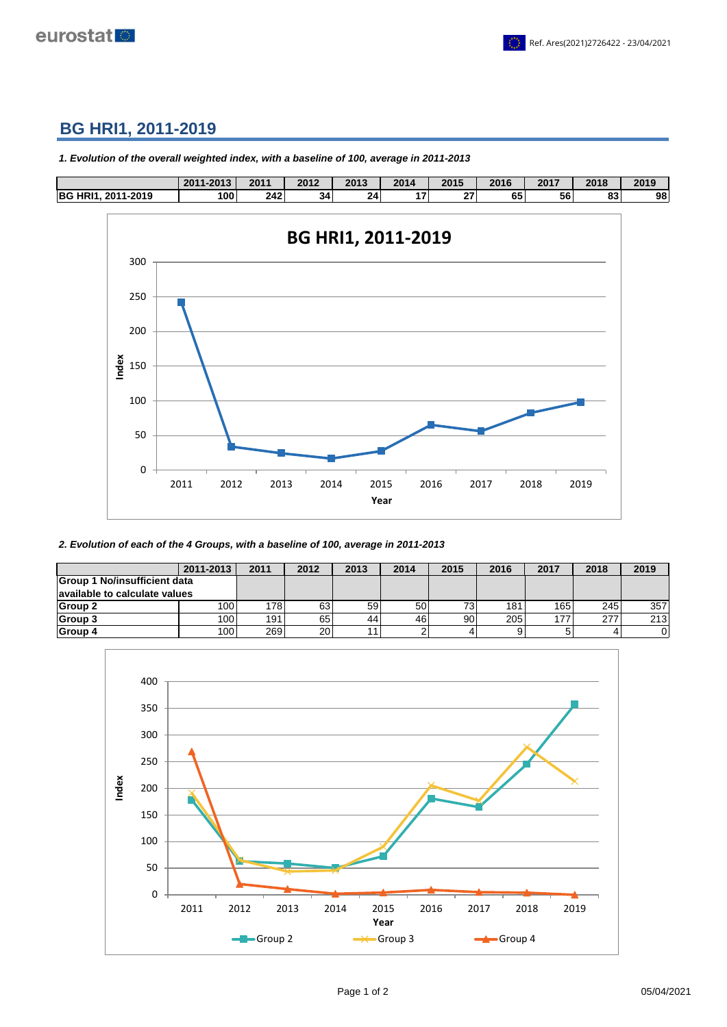

## **BG HRI1, 2011-2019**



*1. Evolution of the overall weighted index, with a baseline of 100, average in 2011-2013*

*2. Evolution of each of the 4 Groups, with a baseline of 100, average in 2011-2013*

|                               | 2011-2013 | 2011 | 2012            | 2013 | 2014 | 2015 | 2016 | 2017 | 2018 | 2019 |
|-------------------------------|-----------|------|-----------------|------|------|------|------|------|------|------|
| Group 1 No/insufficient data  |           |      |                 |      |      |      |      |      |      |      |
| available to calculate values |           |      |                 |      |      |      |      |      |      |      |
| Group 2                       | 100l      | 178  | 63              | 59   | 50   | 73.  | 181  | 165  | 245  | 357  |
| Group 3                       | 100l      | 191  | 65              | 44   | 46   | 90   | 205  | 177  | 277  | 213  |
| Group 4                       | 100l      | 2691 | 20 <sub>1</sub> | 11   |      | 4    | a    |      |      | 0    |